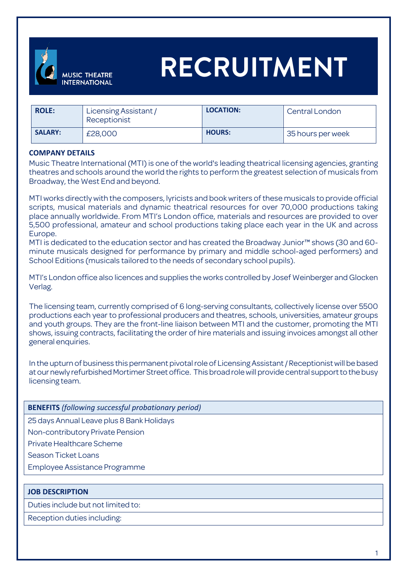

# **RECRUITMENT**

| <b>ROLE:</b>   | Licensing Assistant /<br>Receptionist | LOCATION:     | Central London    |
|----------------|---------------------------------------|---------------|-------------------|
| <b>SALARY:</b> | £28,000                               | <b>HOURS:</b> | 35 hours per week |

#### **COMPANY DETAILS**

Music Theatre International (MTI) is one of the world's leading theatrical licensing agencies, granting theatres and schools around the world the rights to perform the greatest selection of musicals from Broadway, the West End and beyond.

MTI works directly with the composers, lyricists and book writers of these musicals to provide official scripts, musical materials and dynamic theatrical resources for over 70,000 productions taking place annually worldwide. From MTI's London office, materials and resources are provided to over 5,500 professional, amateur and school productions taking place each year in the UK and across Europe.

MTI is dedicated to the education sector and has created the Broadway Junior™ shows (30 and 60 minute musicals designed for performance by primary and middle school-aged performers) and School Editions (musicals tailored to the needs of secondary school pupils).

MTI's London office also licences and supplies the works controlled by Josef Weinberger and Glocken Verlag.

The licensing team, currently comprised of 6 long-serving consultants, collectively license over 5500 productions each year to professional producers and theatres, schools, universities, amateur groups and youth groups. They are the front-line liaison between MTI and the customer, promoting the MTI shows, issuing contracts, facilitating the order of hire materials and issuing invoices amongst all other general enquiries.

In the upturn of business this permanent pivotal role of Licensing Assistant / Receptionist will be based at our newly refurbished Mortimer Street office. This broad role will provide central support to the busy licensing team.

|  |  |  | <b>BENEFITS</b> (following successful probationary period) |  |
|--|--|--|------------------------------------------------------------|--|
|--|--|--|------------------------------------------------------------|--|

25 days Annual Leave plus 8 Bank Holidays

Non-contributory Private Pension

Private Healthcare Scheme

Season Ticket Loans

Employee Assistance Programme

#### **JOB DESCRIPTION**

Duties include but not limited to:

Reception duties including: